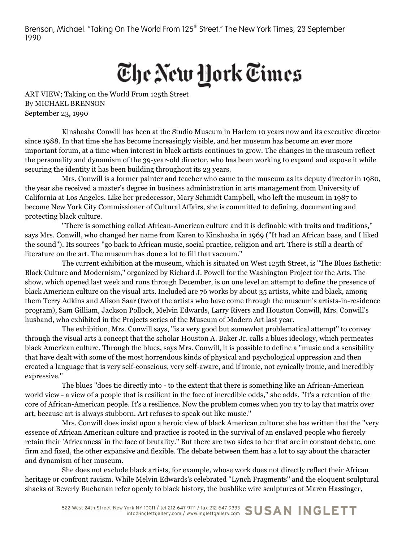Brenson, Michael. "Taking On The World From 125<sup>th</sup> Street." The New York Times, 23 September 1990

## The New York Times

ART VIEW; Taking on the World From 125th Street By MICHAEL BRENSON September 23, 1990

Kinshasha Conwill has been at the Studio Museum in Harlem 10 years now and its executive director since 1988. In that time she has become increasingly visible, and her museum has become an ever more important forum, at a time when interest in black artists continues to grow. The changes in the museum reflect the personality and dynamism of the 39-year-old director, who has been working to expand and expose it while securing the identity it has been building throughout its 23 years.

Mrs. Conwill is a former painter and teacher who came to the museum as its deputy director in 1980, the year she received a master's degree in business administration in arts management from University of California at Los Angeles. Like her predecessor, Mary Schmidt Campbell, who left the museum in 1987 to become New York City Commissioner of Cultural Affairs, she is committed to defining, documenting and protecting black culture.

''There is something called African-American culture and it is definable with traits and traditions,'' says Mrs. Conwill, who changed her name from Karen to Kinshasha in 1969 (''It had an African base, and I liked the sound''). Its sources ''go back to African music, social practice, religion and art. There is still a dearth of literature on the art. The museum has done a lot to fill that vacuum.''

The current exhibition at the museum, which is situated on West 125th Street, is ''The Blues Esthetic: Black Culture and Modernism,'' organized by Richard J. Powell for the Washington Project for the Arts. The show, which opened last week and runs through December, is on one level an attempt to define the presence of black American culture on the visual arts. Included are 76 works by about 35 artists, white and black, among them Terry Adkins and Alison Saar (two of the artists who have come through the museum's artists-in-residence program), Sam Gilliam, Jackson Pollock, Melvin Edwards, Larry Rivers and Houston Conwill, Mrs. Conwill's husband, who exhibited in the Projects series of the Museum of Modern Art last year.

The exhibition, Mrs. Conwill says, ''is a very good but somewhat problematical attempt'' to convey through the visual arts a concept that the scholar Houston A. Baker Jr. calls a blues ideology, which permeates black American culture. Through the blues, says Mrs. Conwill, it is possible to define a ''music and a sensibility that have dealt with some of the most horrendous kinds of physical and psychological oppression and then created a language that is very self-conscious, very self-aware, and if ironic, not cynically ironic, and incredibly expressive.''

The blues ''does tie directly into - to the extent that there is something like an African-American world view - a view of a people that is resilient in the face of incredible odds,'' she adds. ''It's a retention of the core of African-American people. It's a resilience. Now the problem comes when you try to lay that matrix over art, because art is always stubborn. Art refuses to speak out like music.''

Mrs. Conwill does insist upon a heroic view of black American culture: she has written that the ''very essence of African American culture and practice is rooted in the survival of an enslaved people who fiercely retain their 'Africanness' in the face of brutality.'' But there are two sides to her that are in constant debate, one firm and fixed, the other expansive and flexible. The debate between them has a lot to say about the character and dynamism of her museum.

She does not exclude black artists, for example, whose work does not directly reflect their African heritage or confront racism. While Melvin Edwards's celebrated ''Lynch Fragments'' and the eloquent sculptural shacks of Beverly Buchanan refer openly to black history, the bushlike wire sculptures of Maren Hassinger,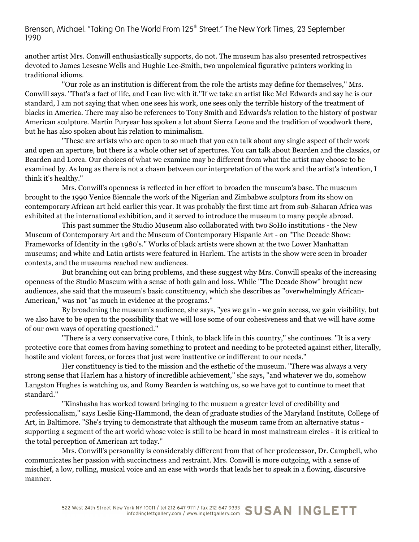## Brenson, Michael. "Taking On The World From 125<sup>th</sup> Street." The New York Times, 23 September 1990

another artist Mrs. Conwill enthusiastically supports, do not. The museum has also presented retrospectives devoted to James Lesesne Wells and Hughie Lee-Smith, two unpolemical figurative painters working in traditional idioms.

''Our role as an institution is different from the role the artists may define for themselves,'' Mrs. Conwill says. ''That's a fact of life, and I can live with it.''If we take an artist like Mel Edwards and say he is our standard, I am not saying that when one sees his work, one sees only the terrible history of the treatment of blacks in America. There may also be references to Tony Smith and Edwards's relation to the history of postwar American sculpture. Martin Puryear has spoken a lot about Sierra Leone and the tradition of woodwork there, but he has also spoken about his relation to minimalism.

''These are artists who are open to so much that you can talk about any single aspect of their work and open an aperture, but there is a whole other set of apertures. You can talk about Bearden and the classics, or Bearden and Lorca. Our choices of what we examine may be different from what the artist may choose to be examined by. As long as there is not a chasm between our interpretation of the work and the artist's intention, I think it's healthy.''

Mrs. Conwill's openness is reflected in her effort to broaden the museum's base. The museum brought to the 1990 Venice Biennale the work of the Nigerian and Zimbabwe sculptors from its show on contemporary African art held earlier this year. It was probably the first time art from sub-Saharan Africa was exhibited at the international exhibition, and it served to introduce the museum to many people abroad.

This past summer the Studio Museum also collaborated with two SoHo institutions - the New Museum of Contemporary Art and the Museum of Contemporary Hispanic Art - on ''The Decade Show: Frameworks of Identity in the 1980's.'' Works of black artists were shown at the two Lower Manhattan museums; and white and Latin artists were featured in Harlem. The artists in the show were seen in broader contexts, and the museums reached new audiences.

But branching out can bring problems, and these suggest why Mrs. Conwill speaks of the increasing openness of the Studio Museum with a sense of both gain and loss. While ''The Decade Show'' brought new audiences, she said that the museum's basic constituency, which she describes as ''overwhelmingly African-American,'' was not ''as much in evidence at the programs.''

By broadening the museum's audience, she says, ''yes we gain - we gain access, we gain visibility, but we also have to be open to the possibility that we will lose some of our cohesiveness and that we will have some of our own ways of operating questioned.''

''There is a very conservative core, I think, to black life in this country,'' she continues. ''It is a very protective core that comes from having something to protect and needing to be protected against either, literally, hostile and violent forces, or forces that just were inattentive or indifferent to our needs.''

Her constituency is tied to the mission and the esthetic of the museum. ''There was always a very strong sense that Harlem has a history of incredible achievement,'' she says, ''and whatever we do, somehow Langston Hughes is watching us, and Romy Bearden is watching us, so we have got to continue to meet that standard.''

''Kinshasha has worked toward bringing to the musuem a greater level of credibility and professionalism,'' says Leslie King-Hammond, the dean of graduate studies of the Maryland Institute, College of Art, in Baltimore. ''She's trying to demonstrate that although the museum came from an alternative status supporting a segment of the art world whose voice is still to be heard in most mainstream circles - it is critical to the total perception of American art today.''

Mrs. Conwill's personality is considerably different from that of her predecessor, Dr. Campbell, who communicates her passion with succinctness and restraint. Mrs. Conwill is more outgoing, with a sense of mischief, a low, rolling, musical voice and an ease with words that leads her to speak in a flowing, discursive manner.